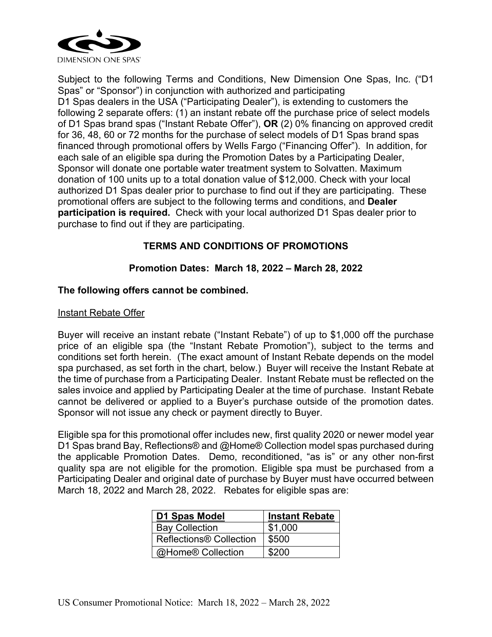

Subject to the following Terms and Conditions, New Dimension One Spas, Inc. ("D1 Spas" or "Sponsor") in conjunction with authorized and participating D1 Spas dealers in the USA ("Participating Dealer"), is extending to customers the following 2 separate offers: (1) an instant rebate off the purchase price of select models of D1 Spas brand spas ("Instant Rebate Offer"), **OR** (2) 0% financing on approved credit for 36, 48, 60 or 72 months for the purchase of select models of D1 Spas brand spas financed through promotional offers by Wells Fargo ("Financing Offer"). In addition, for each sale of an eligible spa during the Promotion Dates by a Participating Dealer, Sponsor will donate one portable water treatment system to Solvatten. Maximum donation of 100 units up to a total donation value of \$12,000. Check with your local authorized D1 Spas dealer prior to purchase to find out if they are participating. These promotional offers are subject to the following terms and conditions, and **Dealer participation is required.** Check with your local authorized D1 Spas dealer prior to purchase to find out if they are participating.

# **TERMS AND CONDITIONS OF PROMOTIONS**

## **Promotion Dates: March 18, 2022 – March 28, 2022**

### **The following offers cannot be combined.**

#### Instant Rebate Offer

Buyer will receive an instant rebate ("Instant Rebate") of up to \$1,000 off the purchase price of an eligible spa (the "Instant Rebate Promotion"), subject to the terms and conditions set forth herein. (The exact amount of Instant Rebate depends on the model spa purchased, as set forth in the chart, below.) Buyer will receive the Instant Rebate at the time of purchase from a Participating Dealer. Instant Rebate must be reflected on the sales invoice and applied by Participating Dealer at the time of purchase. Instant Rebate cannot be delivered or applied to a Buyer's purchase outside of the promotion dates. Sponsor will not issue any check or payment directly to Buyer.

Eligible spa for this promotional offer includes new, first quality 2020 or newer model year D1 Spas brand Bay, Reflections® and @Home® Collection model spas purchased during the applicable Promotion Dates. Demo, reconditioned, "as is" or any other non-first quality spa are not eligible for the promotion. Eligible spa must be purchased from a Participating Dealer and original date of purchase by Buyer must have occurred between March 18, 2022 and March 28, 2022. Rebates for eligible spas are:

| D1 Spas Model                       | <b>Instant Rebate</b> |
|-------------------------------------|-----------------------|
| <b>Bay Collection</b>               | \$1,000               |
| Reflections <sup>®</sup> Collection | \$500                 |
| @Home® Collection                   | \$200                 |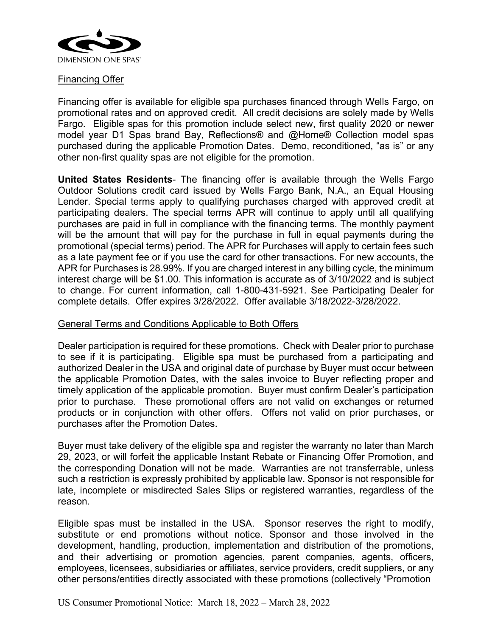

## Financing Offer

Financing offer is available for eligible spa purchases financed through Wells Fargo, on promotional rates and on approved credit. All credit decisions are solely made by Wells Fargo. Eligible spas for this promotion include select new, first quality 2020 or newer model year D1 Spas brand Bay, Reflections® and @Home® Collection model spas purchased during the applicable Promotion Dates. Demo, reconditioned, "as is" or any other non-first quality spas are not eligible for the promotion.

**United States Residents**- The financing offer is available through the Wells Fargo Outdoor Solutions credit card issued by Wells Fargo Bank, N.A., an Equal Housing Lender. Special terms apply to qualifying purchases charged with approved credit at participating dealers. The special terms APR will continue to apply until all qualifying purchases are paid in full in compliance with the financing terms. The monthly payment will be the amount that will pay for the purchase in full in equal payments during the promotional (special terms) period. The APR for Purchases will apply to certain fees such as a late payment fee or if you use the card for other transactions. For new accounts, the APR for Purchases is 28.99%. If you are charged interest in any billing cycle, the minimum interest charge will be \$1.00. This information is accurate as of 3/10/2022 and is subject to change. For current information, call 1-800-431-5921. See Participating Dealer for complete details. Offer expires 3/28/2022. Offer available 3/18/2022-3/28/2022.

#### General Terms and Conditions Applicable to Both Offers

Dealer participation is required for these promotions. Check with Dealer prior to purchase to see if it is participating. Eligible spa must be purchased from a participating and authorized Dealer in the USA and original date of purchase by Buyer must occur between the applicable Promotion Dates, with the sales invoice to Buyer reflecting proper and timely application of the applicable promotion. Buyer must confirm Dealer's participation prior to purchase. These promotional offers are not valid on exchanges or returned products or in conjunction with other offers. Offers not valid on prior purchases, or purchases after the Promotion Dates.

Buyer must take delivery of the eligible spa and register the warranty no later than March 29, 2023, or will forfeit the applicable Instant Rebate or Financing Offer Promotion, and the corresponding Donation will not be made. Warranties are not transferrable, unless such a restriction is expressly prohibited by applicable law. Sponsor is not responsible for late, incomplete or misdirected Sales Slips or registered warranties, regardless of the reason.

Eligible spas must be installed in the USA. Sponsor reserves the right to modify, substitute or end promotions without notice. Sponsor and those involved in the development, handling, production, implementation and distribution of the promotions, and their advertising or promotion agencies, parent companies, agents, officers, employees, licensees, subsidiaries or affiliates, service providers, credit suppliers, or any other persons/entities directly associated with these promotions (collectively "Promotion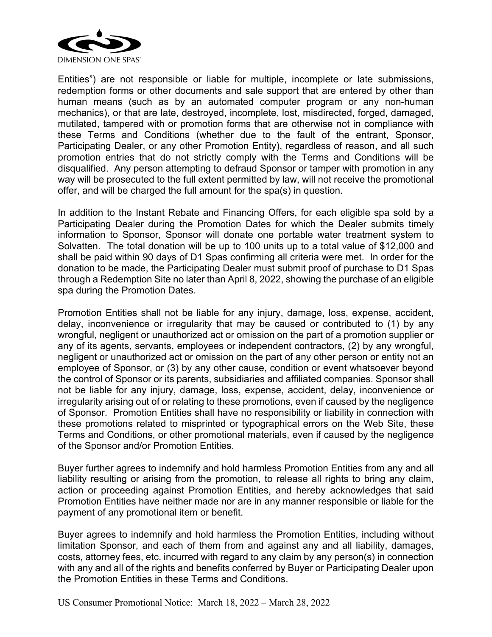

Entities") are not responsible or liable for multiple, incomplete or late submissions, redemption forms or other documents and sale support that are entered by other than human means (such as by an automated computer program or any non-human mechanics), or that are late, destroyed, incomplete, lost, misdirected, forged, damaged, mutilated, tampered with or promotion forms that are otherwise not in compliance with these Terms and Conditions (whether due to the fault of the entrant, Sponsor, Participating Dealer, or any other Promotion Entity), regardless of reason, and all such promotion entries that do not strictly comply with the Terms and Conditions will be disqualified. Any person attempting to defraud Sponsor or tamper with promotion in any way will be prosecuted to the full extent permitted by law, will not receive the promotional offer, and will be charged the full amount for the spa(s) in question.

In addition to the Instant Rebate and Financing Offers, for each eligible spa sold by a Participating Dealer during the Promotion Dates for which the Dealer submits timely information to Sponsor, Sponsor will donate one portable water treatment system to Solvatten. The total donation will be up to 100 units up to a total value of \$12,000 and shall be paid within 90 days of D1 Spas confirming all criteria were met. In order for the donation to be made, the Participating Dealer must submit proof of purchase to D1 Spas through a Redemption Site no later than April 8, 2022, showing the purchase of an eligible spa during the Promotion Dates.

Promotion Entities shall not be liable for any injury, damage, loss, expense, accident, delay, inconvenience or irregularity that may be caused or contributed to (1) by any wrongful, negligent or unauthorized act or omission on the part of a promotion supplier or any of its agents, servants, employees or independent contractors, (2) by any wrongful, negligent or unauthorized act or omission on the part of any other person or entity not an employee of Sponsor, or (3) by any other cause, condition or event whatsoever beyond the control of Sponsor or its parents, subsidiaries and affiliated companies. Sponsor shall not be liable for any injury, damage, loss, expense, accident, delay, inconvenience or irregularity arising out of or relating to these promotions, even if caused by the negligence of Sponsor. Promotion Entities shall have no responsibility or liability in connection with these promotions related to misprinted or typographical errors on the Web Site, these Terms and Conditions, or other promotional materials, even if caused by the negligence of the Sponsor and/or Promotion Entities.

Buyer further agrees to indemnify and hold harmless Promotion Entities from any and all liability resulting or arising from the promotion, to release all rights to bring any claim, action or proceeding against Promotion Entities, and hereby acknowledges that said Promotion Entities have neither made nor are in any manner responsible or liable for the payment of any promotional item or benefit.

Buyer agrees to indemnify and hold harmless the Promotion Entities, including without limitation Sponsor, and each of them from and against any and all liability, damages, costs, attorney fees, etc. incurred with regard to any claim by any person(s) in connection with any and all of the rights and benefits conferred by Buyer or Participating Dealer upon the Promotion Entities in these Terms and Conditions.